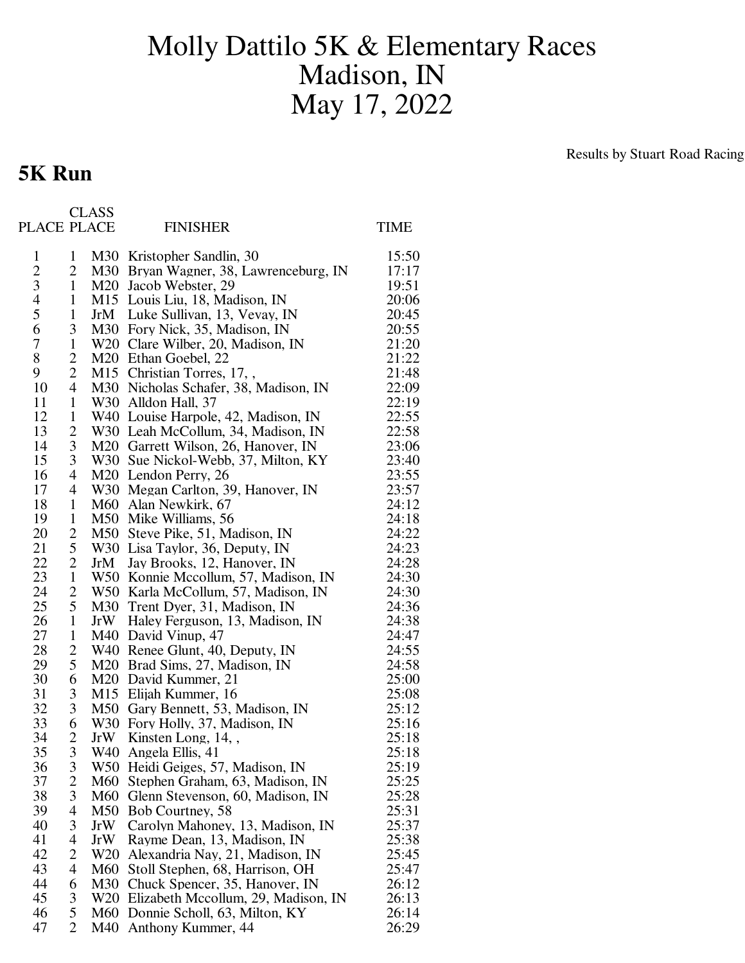## Molly Dattilo 5K & Elementary Races Madison, IN May 17, 2022

## **5K Run**

Results by Stuart Road Racing

| PLACE PLACE    |                | <b>CLASS</b>    | <b>FINISHER</b>                                                      | TIME           |
|----------------|----------------|-----------------|----------------------------------------------------------------------|----------------|
| $\mathbf{1}$   | $\mathbf{1}$   |                 | M30 Kristopher Sandlin, 30                                           | 15:50          |
| $\overline{2}$ | 2              |                 | M30 Bryan Wagner, 38, Lawrenceburg, IN                               | 17:17          |
| 3              | $\mathbf{1}$   |                 | M <sub>20</sub> Jacob Webster, 29                                    | 19:51          |
| 4              | $\mathbf{1}$   |                 | M15 Louis Liu, 18, Madison, IN                                       | 20:06          |
| 5              | $\mathbf{1}$   |                 | JrM Luke Sullivan, 13, Vevay, IN                                     | 20:45          |
| 6              | 3              |                 | M30 Fory Nick, 35, Madison, IN                                       | 20:55          |
| $\overline{7}$ | $\mathbf{1}$   |                 | W20 Clare Wilber, 20, Madison, IN                                    | 21:20          |
| 8              | $\overline{2}$ |                 | M20 Ethan Goebel, 22                                                 | 21:22          |
| 9              | $\overline{2}$ |                 | M15 Christian Torres, 17,,                                           | 21:48          |
| 10             | 4              |                 | M30 Nicholas Schafer, 38, Madison, IN                                | 22:09          |
| 11             | $\mathbf{1}$   |                 | W30 Alldon Hall, 37                                                  | 22:19          |
| 12             | $\mathbf{1}$   |                 | W40 Louise Harpole, 42, Madison, IN                                  | 22:55          |
| 13             | 2              |                 | W30 Leah McCollum, 34, Madison, IN                                   | 22:58          |
| 14             | 3              |                 | M20 Garrett Wilson, 26, Hanover, IN                                  | 23:06          |
| 15             | 3              |                 | W30 Sue Nickol-Webb, 37, Milton, KY                                  | 23:40          |
| 16             | 4              |                 | M <sub>20</sub> Lendon Perry, 26                                     | 23:55          |
| 17             | 4              |                 | W30 Megan Carlton, 39, Hanover, IN                                   | 23:57          |
| 18             | $\mathbf{1}$   |                 | M60 Alan Newkirk, 67                                                 | 24:12          |
| 19             | $\mathbf{1}$   |                 | M50 Mike Williams, 56                                                | 24:18          |
| 20             | 2              |                 | M50 Steve Pike, 51, Madison, IN                                      | 24:22          |
| 21             | 5              |                 | W30 Lisa Taylor, 36, Deputy, IN                                      | 24:23          |
| 22             | $\overline{2}$ | JrM             | Jay Brooks, 12, Hanover, IN                                          | 24:28          |
| 23             | $\mathbf{1}$   |                 | W50 Konnie Mccollum, 57, Madison, IN                                 | 24:30          |
| 24             | 2              |                 | W50 Karla McCollum, 57, Madison, IN                                  | 24:30          |
| 25             | 5              |                 | M30 Trent Dyer, 31, Madison, IN                                      | 24:36          |
| 26             | $\mathbf{1}$   |                 | JrW Haley Ferguson, 13, Madison, IN                                  | 24:38          |
| 27             | $\mathbf{1}$   |                 | M40 David Vinup, 47                                                  | 24:47          |
| 28             | 2              |                 | W40 Renee Glunt, 40, Deputy, IN                                      | 24:55          |
| 29             | 5              |                 | M20 Brad Sims, 27, Madison, IN                                       | 24:58          |
| 30             | 6              |                 | M <sub>20</sub> David Kummer, 21                                     | 25:00          |
| 31             | 3              |                 | M15 Elijah Kummer, 16                                                | 25:08          |
| 32<br>33       | 3<br>6         |                 | M50 Gary Bennett, 53, Madison, IN<br>W30 Fory Holly, 37, Madison, IN | 25:12          |
| 34             | 2              |                 | JrW Kinsten Long, 14,                                                | 25:16<br>25:18 |
| 35             | 3              | W40             | Angela Ellis, 41                                                     | 25:18          |
| 36             | 3              | W <sub>50</sub> | Heidi Geiges, 57, Madison, IN                                        | 25:19          |
| 37             | $\overline{2}$ |                 | M60 Stephen Graham, 63, Madison, IN                                  | 25:25          |
| 38             | 3              | M60             | Glenn Stevenson, 60, Madison, IN                                     | 25:28          |
| 39             | 4              | M50             | Bob Courtney, 58                                                     | 25:31          |
| 40             | 3              | JrW             | Carolyn Mahoney, 13, Madison, IN                                     | 25:37          |
| 41             | 4              | JrW             | Rayme Dean, 13, Madison, IN                                          | 25:38          |
| 42             | 2              |                 | W20 Alexandria Nay, 21, Madison, IN                                  | 25:45          |
| 43             | 4              | M60             | Stoll Stephen, 68, Harrison, OH                                      | 25:47          |
| 44             | 6              | M30             | Chuck Spencer, 35, Hanover, IN                                       | 26:12          |
| 45             | 3              |                 | W20 Elizabeth Mccollum, 29, Madison, IN                              | 26:13          |
| 46             | 5              | M60             | Donnie Scholl, 63, Milton, KY                                        | 26:14          |
| 47             | $\overline{2}$ | M40             | Anthony Kummer, 44                                                   | 26:29          |
|                |                |                 |                                                                      |                |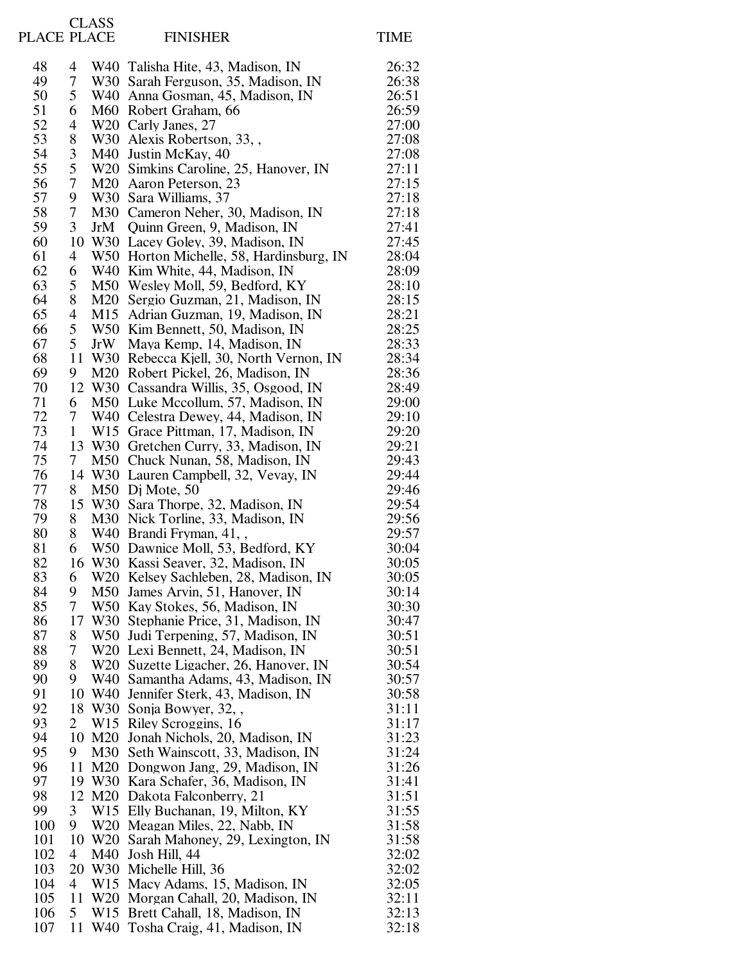| PLACE PLACE |                   | <b>CLASS</b>    | <b>FINISHER</b>                                                            | <b>TIME</b>    |
|-------------|-------------------|-----------------|----------------------------------------------------------------------------|----------------|
| 48          | 4                 |                 | W40 Talisha Hite, 43, Madison, IN                                          | 26:32          |
| 49          | 7                 |                 | W30 Sarah Ferguson, 35, Madison, IN                                        | 26:38          |
| 50          | 5                 |                 | W40 Anna Gosman, 45, Madison, IN                                           | 26:51          |
| 51          | 6                 |                 | M60 Robert Graham, 66                                                      | 26:59          |
| 52          | 4                 |                 | W20 Carly Janes, 27                                                        | 27:00          |
| 53          | 8                 |                 | W30 Alexis Robertson, 33,,                                                 | 27:08          |
| 54          | $\mathfrak{Z}$    |                 | M40 Justin McKay, 40                                                       | 27:08          |
| 55          | 5                 |                 | W20 Simkins Caroline, 25, Hanover, IN                                      | 27:11          |
| 56<br>57    | $\overline{7}$    |                 | M <sub>20</sub> Aaron Peterson, 23                                         | 27:15          |
| 58          | 9<br>7            |                 | W30 Sara Williams, 37<br>M30 Cameron Neher, 30, Madison, IN                | 27:18<br>27:18 |
| 59          | 3                 | JrM             | Quinn Green, 9, Madison, IN                                                | 27:41          |
| 60          | 10                |                 | W30 Lacey Goley, 39, Madison, IN                                           | 27:45          |
| 61          | 4                 |                 | W50 Horton Michelle, 58, Hardinsburg, IN                                   | 28:04          |
| 62          | 6                 |                 | W40 Kim White, 44, Madison, IN                                             | 28:09          |
| 63          | 5                 |                 | M50 Wesley Moll, 59, Bedford, KY                                           | 28:10          |
| 64          | 8                 |                 | M20 Sergio Guzman, 21, Madison, IN                                         | 28:15          |
| 65          | 4                 |                 | M15 Adrian Guzman, 19, Madison, IN                                         | 28:21          |
| 66          | 5                 |                 | W50 Kim Bennett, 50, Madison, IN                                           | 28:25          |
| 67          | 5                 | JrW             | Maya Kemp, 14, Madison, IN                                                 | 28:33          |
| 68          | 11                |                 | W30 Rebecca Kjell, 30, North Vernon, IN                                    | 28:34          |
| 69          | 9                 |                 | M20 Robert Pickel, 26, Madison, IN                                         | 28:36          |
| 70          | 12                |                 | W30 Cassandra Willis, 35, Osgood, IN                                       | 28:49          |
| 71          | 6                 |                 | M50 Luke Mccollum, 57, Madison, IN                                         | 29:00          |
| 72<br>73    | 7<br>$\mathbf{1}$ |                 | W40 Celestra Dewey, 44, Madison, IN                                        | 29:10          |
| 74          | 13                |                 | W15 Grace Pittman, 17, Madison, IN<br>W30 Gretchen Curry, 33, Madison, IN  | 29:20<br>29:21 |
| 75          | 7                 |                 | M50 Chuck Nunan, 58, Madison, IN                                           | 29:43          |
| 76          | 14                |                 | W30 Lauren Campbell, 32, Vevay, IN                                         | 29:44          |
| 77          | 8                 |                 | M50 Dj Mote, 50                                                            | 29:46          |
| 78          | 15                |                 | W30 Sara Thorpe, 32, Madison, IN                                           | 29:54          |
| 79          | 8                 |                 | M30 Nick Torline, 33, Madison, IN                                          | 29:56          |
| 80          | 8                 |                 | W40 Brandi Fryman, 41,                                                     | 29:57          |
| 81          | 6                 |                 | W50 Dawnice Moll, 53, Bedford, KY                                          | 30:04          |
| 82          | 16                |                 | W30 Kassi Seaver, 32, Madison, IN                                          | 30:05          |
| 83          | 6                 |                 | W20 Kelsey Sachleben, 28, Madison, IN                                      | 30:05          |
| 84          | 9                 |                 | M50 James Arvin, 51, Hanover, IN                                           | 30:14          |
| 85          | 7                 |                 | W50 Kay Stokes, 56, Madison, IN                                            | 30:30          |
| 86          | 17                |                 | W30 Stephanie Price, 31, Madison, IN                                       | 30:47          |
| 87          | 8<br>7            |                 | W50 Judi Terpening, 57, Madison, IN                                        | 30:51          |
| 88<br>89    | 8                 |                 | W20 Lexi Bennett, 24, Madison, IN<br>W20 Suzette Ligacher, 26, Hanover, IN | 30:51<br>30:54 |
| 90          | 9                 |                 | W40 Samantha Adams, 43, Madison, IN                                        | 30:57          |
| 91          | 10                |                 | W40 Jennifer Sterk, 43, Madison, IN                                        | 30:58          |
| 92          | 18                |                 | W30 Sonja Bowyer, 32,                                                      | 31:11          |
| 93          | $\overline{2}$    |                 | W15 Riley Scroggins, 16                                                    | 31:17          |
| 94          | 10                |                 | M20 Jonah Nichols, 20, Madison, IN                                         | 31:23          |
| 95          | 9                 |                 | M30 Seth Wainscott, 33, Madison, IN                                        | 31:24          |
| 96          | 11                |                 | M20 Dongwon Jang, 29, Madison, IN                                          | 31:26          |
| 97          |                   |                 | 19 W30 Kara Schafer, 36, Madison, IN                                       | 31:41          |
| 98          | 12                |                 | M <sub>20</sub> Dakota Falconberry, 21                                     | 31:51          |
| 99          | 3                 |                 | W15 Elly Buchanan, 19, Milton, KY                                          | 31:55          |
| 100         | 9                 |                 | W20 Meagan Miles, 22, Nabb, IN                                             | 31:58          |
| 101         | 10<br>4           | M40             | W20 Sarah Mahoney, 29, Lexington, IN                                       | 31:58<br>32:02 |
| 102<br>103  | 20                |                 | Josh Hill, 44<br>W30 Michelle Hill, 36                                     | 32:02          |
| 104         | 4                 |                 | W15 Macy Adams, 15, Madison, IN                                            | 32:05          |
| 105         | 11                | W20             | Morgan Cahall, 20, Madison, IN                                             | 32:11          |
| 106         | 5                 | W <sub>15</sub> | Brett Cahall, 18, Madison, IN                                              | 32:13          |
| 107         | 11                |                 | W40 Tosha Craig, 41, Madison, IN                                           | 32:18          |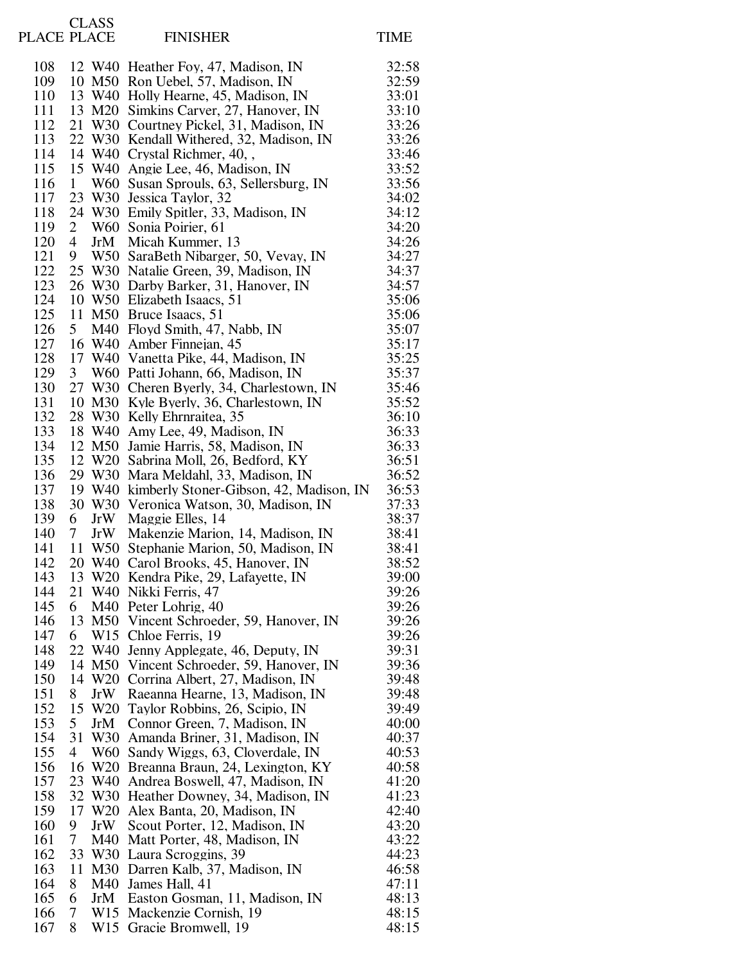| PLACE PLACE |                      | <b>CLASS</b> | <b>FINISHER</b>                                                           | <b>TIME</b>    |
|-------------|----------------------|--------------|---------------------------------------------------------------------------|----------------|
| 108         |                      |              | 12 W40 Heather Foy, 47, Madison, IN                                       | 32:58          |
| 109         | 10                   |              | M50 Ron Uebel, 57, Madison, IN                                            | 32:59          |
| 110         |                      |              | 13 W40 Holly Hearne, 45, Madison, IN                                      | 33:01          |
| 111         |                      |              | 13 M20 Simkins Carver, 27, Hanover, IN                                    | 33:10          |
| 112         | 21                   |              | W30 Courtney Pickel, 31, Madison, IN                                      | 33:26          |
| 113         |                      |              | 22 W30 Kendall Withered, 32, Madison, IN                                  | 33:26          |
| 114<br>115  | 14<br>15             |              | W40 Crystal Richmer, 40,,                                                 | 33:46<br>33:52 |
| 116         | $\mathbf{1}$         |              | W40 Angie Lee, 46, Madison, IN<br>W60 Susan Sprouls, 63, Sellersburg, IN  | 33:56          |
| 117         | 23                   |              | W30 Jessica Taylor, 32                                                    | 34:02          |
| 118         | 24                   |              | W30 Emily Spitler, 33, Madison, IN                                        | 34:12          |
| 119         | $\overline{2}$       |              | W60 Sonia Poirier, 61                                                     | 34:20          |
| 120         | 4                    |              | JrM Micah Kummer, 13                                                      | 34:26          |
| 121         | 9                    |              | W50 SaraBeth Nibarger, 50, Vevay, IN                                      | 34:27          |
| 122         | 25                   |              | W30 Natalie Green, 39, Madison, IN                                        | 34:37          |
| 123         | 26                   |              | W30 Darby Barker, 31, Hanover, IN                                         | 34:57          |
| 124<br>125  | 10<br>11             |              | W50 Elizabeth Isaacs, 51<br>M50 Bruce Isaacs, 51                          | 35:06<br>35:06 |
| 126         | 5 <sup>5</sup>       |              | M40 Floyd Smith, 47, Nabb, IN                                             | 35:07          |
| 127         | 16                   |              | W40 Amber Finnejan, 45                                                    | 35:17          |
| 128         | 17                   |              | W40 Vanetta Pike, 44, Madison, IN                                         | 35:25          |
| 129         | 3 <sup>1</sup>       |              | W60 Patti Johann, 66, Madison, IN                                         | 35:37          |
| 130         | 27                   |              | W30 Cheren Byerly, 34, Charlestown, IN                                    | 35:46          |
| 131         | 10                   |              | M30 Kyle Byerly, 36, Charlestown, IN                                      | 35:52          |
| 132         | 28                   |              | W30 Kelly Ehrnraitea, 35                                                  | 36:10          |
| 133         | 18                   |              | W40 Amy Lee, 49, Madison, IN                                              | 36:33          |
| 134<br>135  | 12                   |              | M50 Jamie Harris, 58, Madison, IN<br>12 W20 Sabrina Moll, 26, Bedford, KY | 36:33<br>36:51 |
| 136         |                      |              | 29 W30 Mara Meldahl, 33, Madison, IN                                      | 36:52          |
| 137         | 19                   |              | W40 kimberly Stoner-Gibson, 42, Madison, IN                               | 36:53          |
| 138         | 30                   |              | W30 Veronica Watson, 30, Madison, IN                                      | 37:33          |
| 139         | 6                    | JrW          | Maggie Elles, 14                                                          | 38:37          |
| 140         | 7                    | JrW          | Makenzie Marion, 14, Madison, IN                                          | 38:41          |
| 141         |                      | 11 W50       | Stephanie Marion, 50, Madison, IN                                         | 38:41          |
| 142         | 20                   |              | W40 Carol Brooks, 45, Hanover, IN                                         | 38:52          |
| 143         |                      |              | 13 W20 Kendra Pike, 29, Lafayette, IN<br>W40 Nikki Ferris, 47             | 39:00          |
| 144<br>145  | 21<br>6              |              | M40 Peter Lohrig, 40                                                      | 39:26<br>39:26 |
| 146         | 13                   |              | M50 Vincent Schroeder, 59, Hanover, IN                                    | 39:26          |
| 147         | 6                    |              | W <sub>15</sub> Chloe Ferris, 19                                          | 39:26          |
| 148         | 22                   |              | W40 Jenny Applegate, 46, Deputy, IN                                       | 39:31          |
| 149         |                      |              | 14 M50 Vincent Schroeder, 59, Hanover, IN                                 | 39:36          |
| 150         |                      |              | 14 W20 Corrina Albert, 27, Madison, IN                                    | 39:48          |
| 151         | 8                    | JrW          | Raeanna Hearne, 13, Madison, IN                                           | 39:48          |
| 152         |                      | 15 W20       | Taylor Robbins, 26, Scipio, IN                                            | 39:49          |
| 153<br>154  | 5 <sup>1</sup><br>31 | JrM          | Connor Green, 7, Madison, IN<br>W30 Amanda Briner, 31, Madison, IN        | 40:00<br>40:37 |
| 155         | 4                    |              | W60 Sandy Wiggs, 63, Cloverdale, IN                                       | 40:53          |
| 156         | 16                   |              | W20 Breanna Braun, 24, Lexington, KY                                      | 40:58          |
| 157         | 23                   |              | W40 Andrea Boswell, 47, Madison, IN                                       | 41:20          |
| 158         | 32                   |              | W30 Heather Downey, 34, Madison, IN                                       | 41:23          |
| 159         | 17                   |              | W20 Alex Banta, 20, Madison, IN                                           | 42:40          |
| 160         | 9                    | JrW          | Scout Porter, 12, Madison, IN                                             | 43:20          |
| 161         | 7                    | M40          | Matt Porter, 48, Madison, IN                                              | 43:22          |
| 162         | 33                   |              | W30 Laura Scroggins, 39                                                   | 44:23          |
| 163<br>164  | 11<br>8              |              | M30 Darren Kalb, 37, Madison, IN<br>M40 James Hall, 41                    | 46:58<br>47:11 |
| 165         | 6                    | JrM          | Easton Gosman, 11, Madison, IN                                            | 48:13          |
| 166         | 7                    |              | W15 Mackenzie Cornish, 19                                                 | 48:15          |
| 167         | 8                    |              | W15 Gracie Bromwell, 19                                                   | 48:15          |